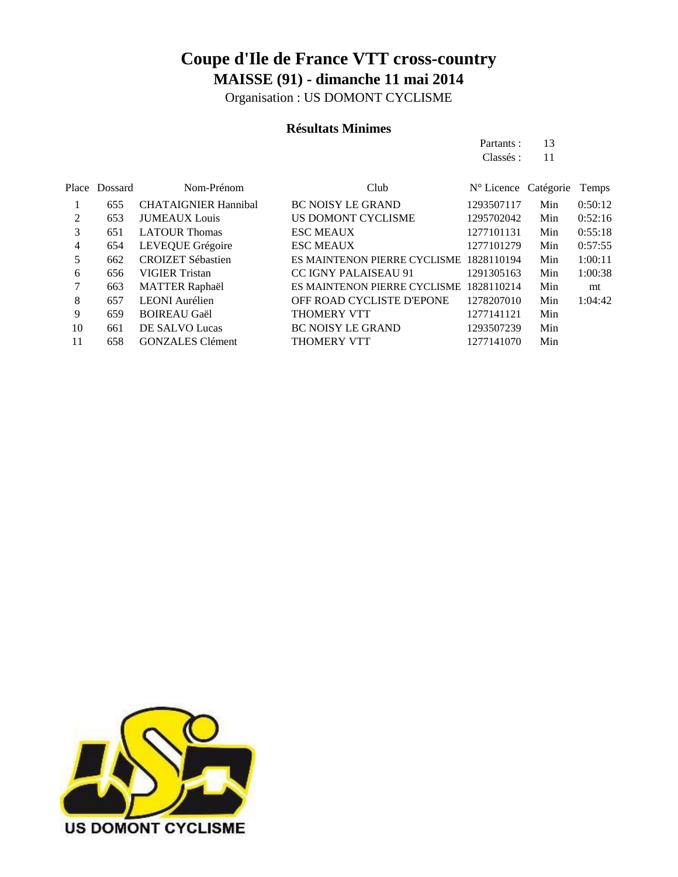Organisation : US DOMONT CYCLISME

#### **Résultats Minimes**

Partants : 13 Classés: 11

|    | Place Dossard | Nom-Prénom                  | Club                         | $N^{\circ}$ Licence Catégorie |     | Temps   |
|----|---------------|-----------------------------|------------------------------|-------------------------------|-----|---------|
|    | 655           | <b>CHATAIGNIER Hannibal</b> | <b>BC NOISY LE GRAND</b>     | 1293507117                    | Min | 0:50:12 |
| 2  | 653           | <b>JUMEAUX</b> Louis        | US DOMONT CYCLISME           | 1295702042                    | Min | 0:52:16 |
| 3  | 651           | <b>LATOUR Thomas</b>        | <b>ESC MEAUX</b>             | 1277101131                    | Min | 0:55:18 |
| 4  | 654           | LEVEQUE Grégoire            | <b>ESC MEAUX</b>             | 1277101279                    | Min | 0:57:55 |
| 5  | 662           | <b>CROIZET Sébastien</b>    | ES MAINTENON PIERRE CYCLISME | 1828110194                    | Min | 1:00:11 |
| 6  | 656           | <b>VIGIER Tristan</b>       | <b>CC IGNY PALAISEAU 91</b>  | 1291305163                    | Min | 1:00:38 |
|    | 663           | <b>MATTER Raphaël</b>       | ES MAINTENON PIERRE CYCLISME | 1828110214                    | Min | mt      |
| 8  | 657           | <b>LEONI</b> Aurélien       | OFF ROAD CYCLISTE D'EPONE    | 1278207010                    | Min | 1:04:42 |
| 9  | 659           | <b>BOIREAU Gaël</b>         | <b>THOMERY VTT</b>           | 1277141121                    | Min |         |
| 10 | 661           | DE SALVO Lucas              | <b>BC NOISY LE GRAND</b>     | 1293507239                    | Min |         |
| 11 | 658           | <b>GONZALES</b> Clément     | <b>THOMERY VTT</b>           | 1277141070                    | Min |         |
|    |               |                             |                              |                               |     |         |

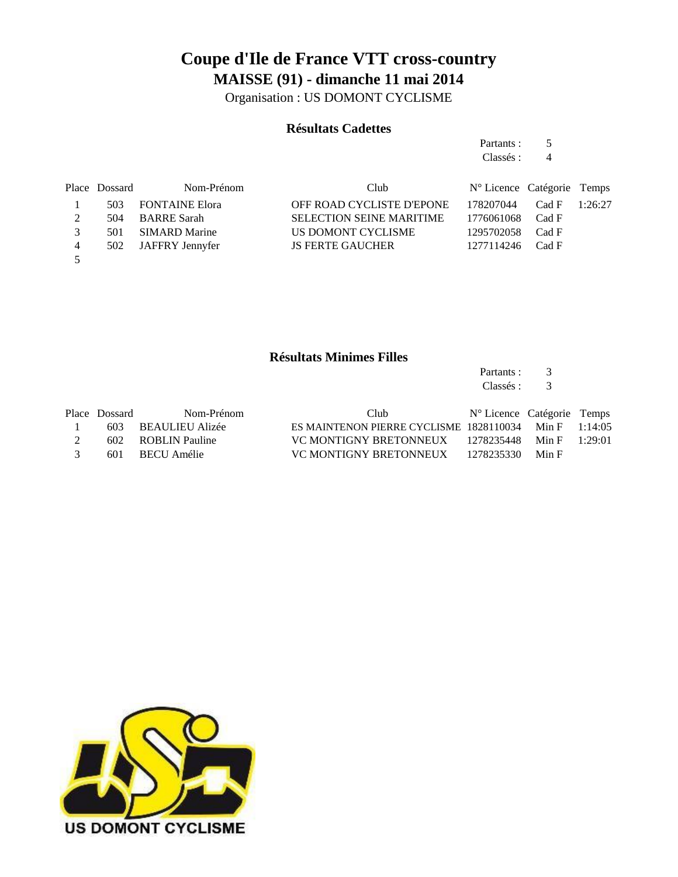Organisation : US DOMONT CYCLISME

#### **Résultats Cadettes**

Partants : 5 Classés : 4

|   | Place Dossard | Nom-Prénom           | Club                            | $N^{\circ}$ Licence Catégorie Temps |         |
|---|---------------|----------------------|---------------------------------|-------------------------------------|---------|
|   |               | 503 FONTAINE Elora   | OFF ROAD CYCLISTE D'EPONE       | 178207044 Cad F                     | 1:26:27 |
|   | 504           | BARRE Sarah          | <b>SELECTION SEINE MARITIME</b> | 1776061068 Cad F                    |         |
|   | 501           | <b>SIMARD Marine</b> | US DOMONT CYCLISME              | 1295702058 Cad F                    |         |
| 4 |               | 502 JAFFRY Jennyfer  | <b>JS FERTE GAUCHER</b>         | 1277114246 Cad F                    |         |
|   |               |                      |                                 |                                     |         |

#### **Résultats Minimes Filles**

Partants : 3 Classés : 3

|               | Place Dossard | Nom-Prénom          | Club.                                                     | N° Licence Catégorie Temps |       |  |
|---------------|---------------|---------------------|-----------------------------------------------------------|----------------------------|-------|--|
|               |               | 603 BEAULIEU Alizée | ES MAINTENON PIERRE CYCLISME $1828110034$ Min F $1:14:05$ |                            |       |  |
|               |               | 602 ROBLIN Pauline  | VC MONTIGNY BRETONNEUX $1278235448$ Min F $1:29:01$       |                            |       |  |
| $\mathcal{R}$ |               | 601 BECU Amélie     | VC MONTIGNY BRETONNEUX 1278235330                         |                            | Min F |  |

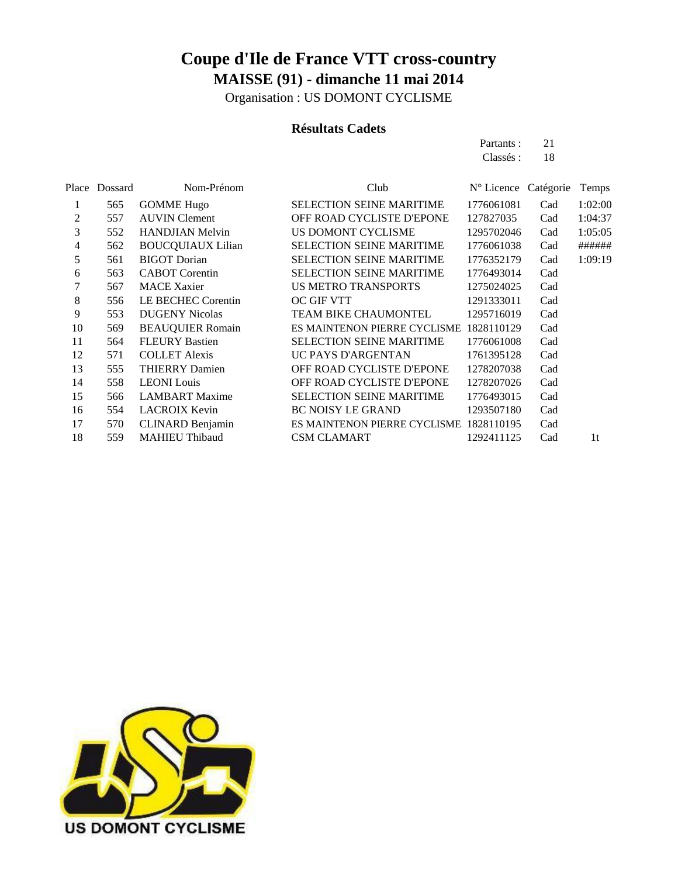Organisation : US DOMONT CYCLISME

#### **Résultats Cadets**

Partants : 21 Classés: 18

|    | Place Dossard | Nom-Prénom                | Club                            | N° Licence Catégorie |     | Temps          |
|----|---------------|---------------------------|---------------------------------|----------------------|-----|----------------|
| 1  | 565           | <b>GOMME Hugo</b>         | <b>SELECTION SEINE MARITIME</b> | 1776061081           | Cad | 1:02:00        |
| 2  | 557           | <b>AUVIN</b> Clement      | OFF ROAD CYCLISTE D'EPONE       | 127827035            | Cad | 1:04:37        |
| 3  | 552           | <b>HANDJIAN Melvin</b>    | US DOMONT CYCLISME              | 1295702046           | Cad | 1:05:05        |
| 4  | 562           | <b>BOUCQUIAUX Lilian</b>  | <b>SELECTION SEINE MARITIME</b> | 1776061038           | Cad | ######         |
| 5  | 561           | <b>BIGOT</b> Dorian       | <b>SELECTION SEINE MARITIME</b> | 1776352179           | Cad | 1:09:19        |
| 6  | 563           | <b>CABOT</b> Corentin     | <b>SELECTION SEINE MARITIME</b> | 1776493014           | Cad |                |
| 7  | 567           | <b>MACE Xaxier</b>        | <b>US METRO TRANSPORTS</b>      | 1275024025           | Cad |                |
| 8  | 556           | <b>LE BECHEC Corentin</b> | <b>OC GIF VTT</b>               | 1291333011           | Cad |                |
| 9  | 553           | <b>DUGENY Nicolas</b>     | <b>TEAM BIKE CHAUMONTEL</b>     | 1295716019           | Cad |                |
| 10 | 569           | <b>BEAUQUIER Romain</b>   | ES MAINTENON PIERRE CYCLISME    | 1828110129           | Cad |                |
| 11 | 564           | <b>FLEURY Bastien</b>     | <b>SELECTION SEINE MARITIME</b> | 1776061008           | Cad |                |
| 12 | 571           | <b>COLLET Alexis</b>      | UC PAYS D'ARGENTAN              | 1761395128           | Cad |                |
| 13 | 555           | <b>THIERRY Damien</b>     | OFF ROAD CYCLISTE D'EPONE       | 1278207038           | Cad |                |
| 14 | 558           | <b>LEONI</b> Louis        | OFF ROAD CYCLISTE D'EPONE       | 1278207026           | Cad |                |
| 15 | 566           | <b>LAMBART</b> Maxime     | <b>SELECTION SEINE MARITIME</b> | 1776493015           | Cad |                |
| 16 | 554           | <b>LACROIX Kevin</b>      | <b>BC NOISY LE GRAND</b>        | 1293507180           | Cad |                |
| 17 | 570           | <b>CLINARD Benjamin</b>   | ES MAINTENON PIERRE CYCLISME    | 1828110195           | Cad |                |
| 18 | 559           | <b>MAHIEU Thibaud</b>     | <b>CSM CLAMART</b>              | 1292411125           | Cad | 1 <sup>t</sup> |
|    |               |                           |                                 |                      |     |                |

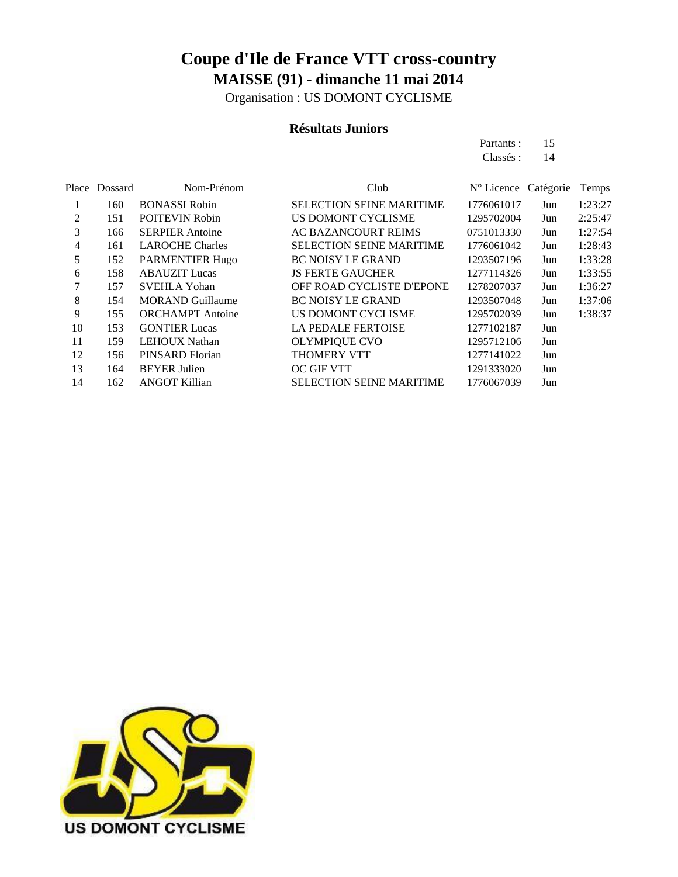Organisation : US DOMONT CYCLISME

#### **Résultats Juniors**

Partants : 15 Classés: 14

|    | Place Dossard | Nom-Prénom              | Club                            | N° Licence Catégorie |     | Temps   |
|----|---------------|-------------------------|---------------------------------|----------------------|-----|---------|
| 1  | 160           | <b>BONASSI Robin</b>    | <b>SELECTION SEINE MARITIME</b> | 1776061017           | Jun | 1:23:27 |
| 2  | 151           | <b>POITEVIN Robin</b>   | US DOMONT CYCLISME              | 1295702004           | Jun | 2:25:47 |
| 3  | 166           | <b>SERPIER Antoine</b>  | AC BAZANCOURT REIMS             | 0751013330           | Jun | 1:27:54 |
| 4  | 161           | <b>LAROCHE Charles</b>  | <b>SELECTION SEINE MARITIME</b> | 1776061042           | Jun | 1:28:43 |
| 5  | 152           | <b>PARMENTIER Hugo</b>  | <b>BC NOISY LE GRAND</b>        | 1293507196           | Jun | 1:33:28 |
| 6  | 158           | <b>ABAUZIT</b> Lucas    | <b>JS FERTE GAUCHER</b>         | 1277114326           | Jun | 1:33:55 |
| 7  | 157           | <b>SVEHLA Yohan</b>     | OFF ROAD CYCLISTE D'EPONE       | 1278207037           | Jun | 1:36:27 |
| 8  | 154           | <b>MORAND Guillaume</b> | <b>BC NOISY LE GRAND</b>        | 1293507048           | Jun | 1:37:06 |
| 9  | 155           | <b>ORCHAMPT</b> Antoine | US DOMONT CYCLISME              | 1295702039           | Jun | 1:38:37 |
| 10 | 153           | <b>GONTIER Lucas</b>    | <b>LA PEDALE FERTOISE</b>       | 1277102187           | Jun |         |
| 11 | 159           | <b>LEHOUX Nathan</b>    | <b>OLYMPIQUE CVO</b>            | 1295712106           | Jun |         |
| 12 | 156           | PINSARD Florian         | <b>THOMERY VTT</b>              | 1277141022           | Jun |         |
| 13 | 164           | <b>BEYER Julien</b>     | <b>OC GIF VTT</b>               | 1291333020           | Jun |         |
| 14 | 162           | <b>ANGOT Killian</b>    | <b>SELECTION SEINE MARITIME</b> | 1776067039           | Jun |         |

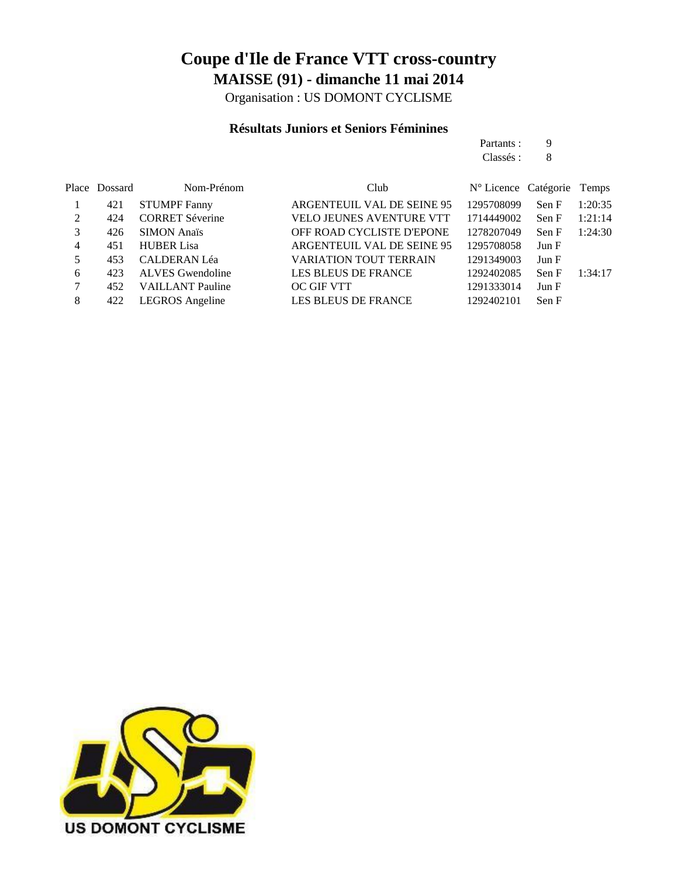Organisation : US DOMONT CYCLISME

### **Résultats Juniors et Seniors Féminines**

|   |               |                         |                            | Partants :           | 9     |         |
|---|---------------|-------------------------|----------------------------|----------------------|-------|---------|
|   |               |                         |                            | Classés :            | 8     |         |
|   | Place Dossard | Nom-Prénom              | Club                       | N° Licence Catégorie |       | Temps   |
|   | 421           | <b>STUMPF Fanny</b>     | ARGENTEUIL VAL DE SEINE 95 | 1295708099           | Sen F | 1:20:35 |
| 2 | 424           | <b>CORRET Séverine</b>  | VELO JEUNES AVENTURE VTT   | 1714449002           | Sen F | 1:21:14 |
| 3 | 426           | <b>SIMON</b> Anaïs      | OFF ROAD CYCLISTE D'EPONE  | 1278207049           | Sen F | 1:24:30 |
| 4 | 451           | <b>HUBER Lisa</b>       | ARGENTEUIL VAL DE SEINE 95 | 1295708058           | Jun F |         |
| 5 | 453           | <b>CALDERAN Léa</b>     | VARIATION TOUT TERRAIN     | 1291349003           | Jun F |         |
| 6 | 423           | <b>ALVES</b> Gwendoline | <b>LES BLEUS DE FRANCE</b> | 1292402085           | Sen F | 1:34:17 |
| 7 | 452           | <b>VAILLANT</b> Pauline | <b>OC GIF VTT</b>          | 1291333014           | Jun F |         |
| 8 | 422           | LEGROS Angeline         | <b>LES BLEUS DE FRANCE</b> | 1292402101           | Sen F |         |
|   |               |                         |                            |                      |       |         |

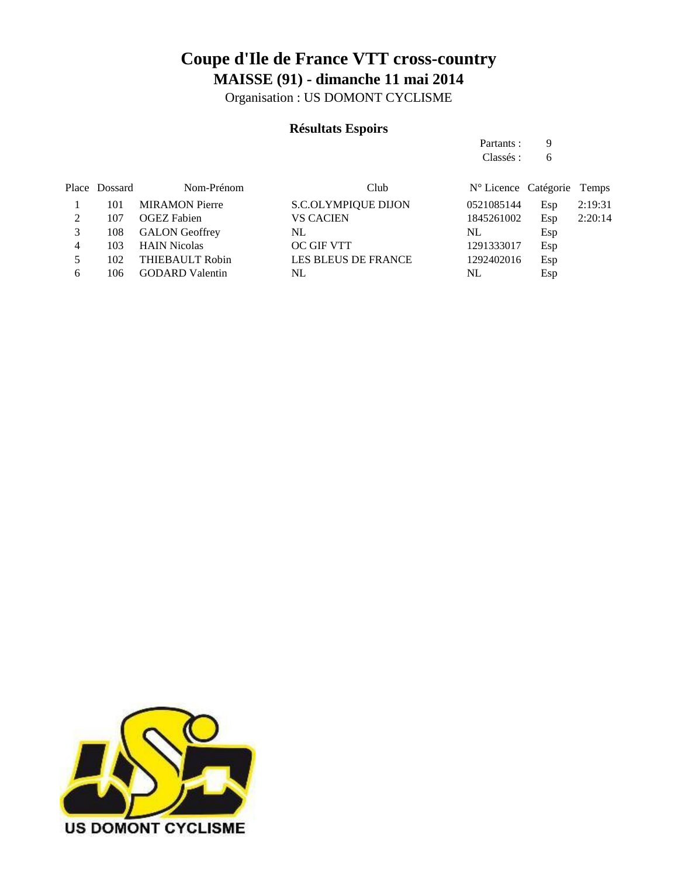Organisation : US DOMONT CYCLISME

### **Résultats Espoirs**

Partants : 9 Classés : 6

|   | Place Dossard | Nom-Prénom             | Club                       | N° Licence Catégorie Temps |     |         |
|---|---------------|------------------------|----------------------------|----------------------------|-----|---------|
|   | 101           | <b>MIRAMON Pierre</b>  | <b>S.C.OLYMPIQUE DIJON</b> | 0521085144                 | Esp | 2:19:31 |
|   | 107           | <b>OGEZ</b> Fabien     | <b>VS CACIEN</b>           | 1845261002                 | Esp | 2:20:14 |
|   | 108           | <b>GALON</b> Geoffrey  | NL                         | NL                         | Esp |         |
| 4 | 103           | <b>HAIN Nicolas</b>    | OC GIF VTT                 | 1291333017                 | Esp |         |
|   | 102           | THIEBAULT Robin        | <b>LES BLEUS DE FRANCE</b> | 1292402016                 | Esp |         |
| 6 | 106           | <b>GODARD</b> Valentin | NL                         | NL                         | Esp |         |

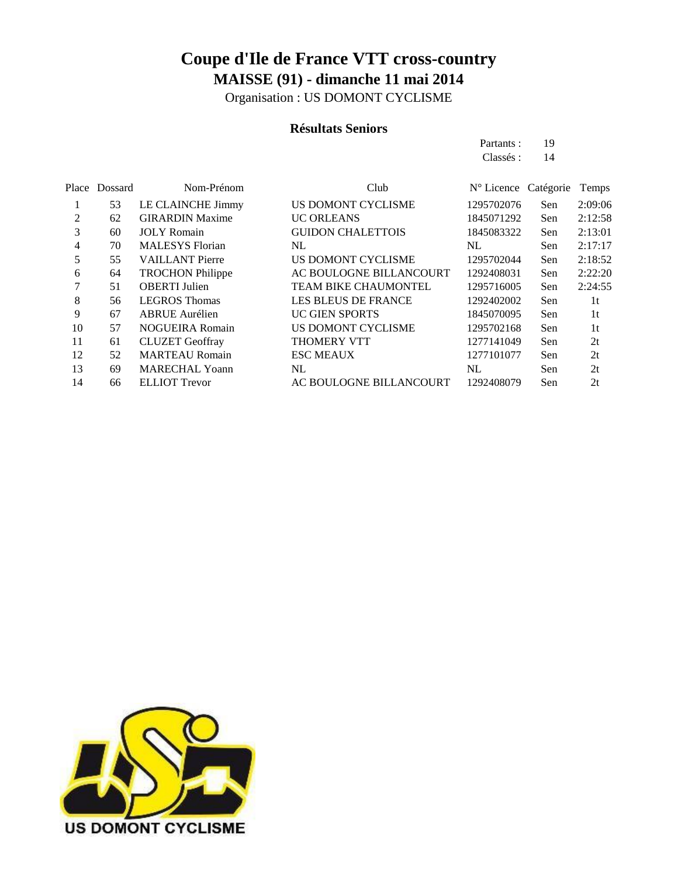Organisation : US DOMONT CYCLISME

#### **Résultats Seniors**

Partants : 19 Classés: 14

|    | Place Dossard | Nom-Prénom              | Club                        | N° Licence Catégorie |     | Temps          |
|----|---------------|-------------------------|-----------------------------|----------------------|-----|----------------|
|    | 53            | LE CLAINCHE Jimmy       | US DOMONT CYCLISME          | 1295702076           | Sen | 2:09:06        |
| 2  | 62            | <b>GIRARDIN Maxime</b>  | <b>UC ORLEANS</b>           | 1845071292           | Sen | 2:12:58        |
| 3  | 60            | <b>JOLY</b> Romain      | <b>GUIDON CHALETTOIS</b>    | 1845083322           | Sen | 2:13:01        |
| 4  | 70            | <b>MALESYS</b> Florian  | NL.                         | NL                   | Sen | 2:17:17        |
| 5  | 55            | <b>VAILLANT Pierre</b>  | US DOMONT CYCLISME          | 1295702044           | Sen | 2:18:52        |
| 6  | 64            | <b>TROCHON Philippe</b> | AC BOULOGNE BILLANCOURT     | 1292408031           | Sen | 2:22:20        |
| 7  | 51            | <b>OBERTI</b> Julien    | <b>TEAM BIKE CHAUMONTEL</b> | 1295716005           | Sen | 2:24:55        |
| 8  | 56            | <b>LEGROS</b> Thomas    | <b>LES BLEUS DE FRANCE</b>  | 1292402002           | Sen | 1 <sup>t</sup> |
| 9  | 67            | <b>ABRUE</b> Aurélien   | <b>UC GIEN SPORTS</b>       | 1845070095           | Sen | 1 <sup>t</sup> |
| 10 | 57            | <b>NOGUEIRA Romain</b>  | US DOMONT CYCLISME          | 1295702168           | Sen | 1t             |
| 11 | 61            | <b>CLUZET</b> Geoffray  | <b>THOMERY VTT</b>          | 1277141049           | Sen | 2t             |
| 12 | 52            | <b>MARTEAU Romain</b>   | <b>ESC MEAUX</b>            | 1277101077           | Sen | 2t             |
| 13 | 69            | <b>MARECHAL Yoann</b>   | NL                          | NL                   | Sen | 2t             |
| 14 | 66            | <b>ELLIOT</b> Trevor    | AC BOULOGNE BILLANCOURT     | 1292408079           | Sen | 2t             |

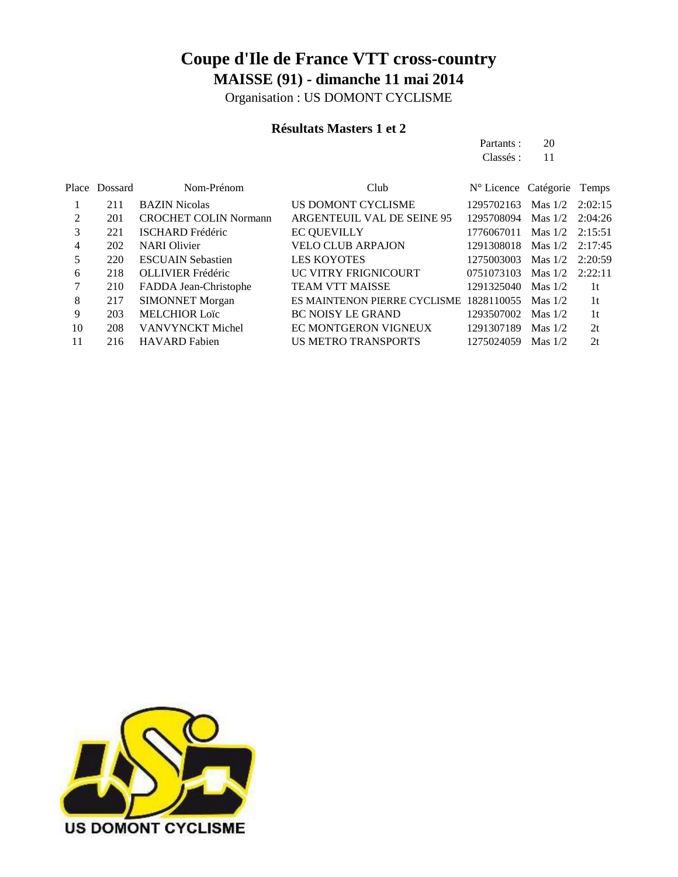Organisation : US DOMONT CYCLISME

### **Résultats Masters 1 et 2**

Partants : 20 Classés : 11

|    | Place Dossard | Nom-Prénom                   | Club                                    | N° Licence Catégorie |           | Temps   |
|----|---------------|------------------------------|-----------------------------------------|----------------------|-----------|---------|
|    | 211           | <b>BAZIN Nicolas</b>         | US DOMONT CYCLISME                      | 1295702163           | Mas $1/2$ | 2:02:15 |
| 2  | 201           | <b>CROCHET COLIN Normann</b> | ARGENTEUIL VAL DE SEINE 95              | 1295708094           | Mas $1/2$ | 2:04:26 |
| 3  | 221           | <b>ISCHARD</b> Frédéric      | <b>EC QUEVILLY</b>                      | 1776067011           | Mas $1/2$ | 2:15:51 |
| 4  | 202           | <b>NARI</b> Olivier          | <b>VELO CLUB ARPAJON</b>                | 1291308018           | Mas $1/2$ | 2:17:45 |
| 5  | 220           | <b>ESCUAIN Sebastien</b>     | <b>LES KOYOTES</b>                      | 1275003003           | Mas $1/2$ | 2:20:59 |
| 6  | 218           | <b>OLLIVIER Frédéric</b>     | UC VITRY FRIGNICOURT                    | 0751073103           | Mas $1/2$ | 2:22:11 |
| 7  | 210           | FADDA Jean-Christophe        | <b>TEAM VTT MAISSE</b>                  | 1291325040           | Mas $1/2$ | 1t      |
| 8  | 217           | <b>SIMONNET Morgan</b>       | ES MAINTENON PIERRE CYCLISME 1828110055 |                      | Mas $1/2$ | -1t     |
| 9  | 203           | <b>MELCHIOR Loïc</b>         | <b>BC NOISY LE GRAND</b>                | 1293507002           | Mas $1/2$ | 1t      |
| 10 | 208           | <b>VANVYNCKT</b> Michel      | EC MONTGERON VIGNEUX                    | 1291307189           | Mas $1/2$ | 2t      |
| 11 | 216           | <b>HAVARD</b> Fabien         | US METRO TRANSPORTS                     | 1275024059           | Mas $1/2$ | 2t      |
|    |               |                              |                                         |                      |           |         |

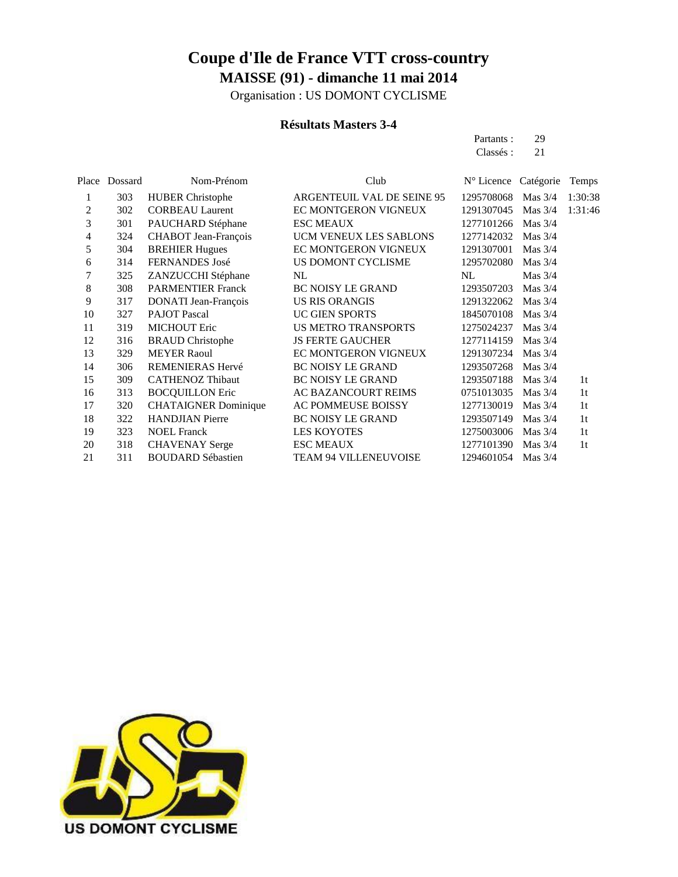Organisation : US DOMONT CYCLISME

### **Résultats Masters 3-4**

| Partants: | 29 |
|-----------|----|
| Classés : | 21 |
|           |    |

| Place | Dossard | Nom-Prénom                  | Club                         | $N^{\circ}$ Licence | Catégorie | Temps          |
|-------|---------|-----------------------------|------------------------------|---------------------|-----------|----------------|
| 1     | 303     | <b>HUBER Christophe</b>     | ARGENTEUIL VAL DE SEINE 95   | 1295708068          | Mas $3/4$ | 1:30:38        |
| 2     | 302     | <b>CORBEAU Laurent</b>      | EC MONTGERON VIGNEUX         | 1291307045          | Mas $3/4$ | 1:31:46        |
| 3     | 301     | PAUCHARD Stéphane           | <b>ESC MEAUX</b>             | 1277101266          | Mas $3/4$ |                |
| 4     | 324     | CHABOT Jean-François        | UCM VENEUX LES SABLONS       | 1277142032          | Mas $3/4$ |                |
| 5     | 304     | <b>BREHIER Hugues</b>       | EC MONTGERON VIGNEUX         | 1291307001          | Mas $3/4$ |                |
| 6     | 314     | FERNANDES José              | US DOMONT CYCLISME           | 1295702080          | Mas 3/4   |                |
| 7     | 325     | ZANZUCCHI Stéphane          | NL                           | NL                  | Mas $3/4$ |                |
| 8     | 308     | <b>PARMENTIER Franck</b>    | <b>BC NOISY LE GRAND</b>     | 1293507203          | Mas $3/4$ |                |
| 9     | 317     | DONATI Jean-François        | <b>US RIS ORANGIS</b>        | 1291322062          | Mas $3/4$ |                |
| 10    | 327     | <b>PAJOT Pascal</b>         | <b>UC GIEN SPORTS</b>        | 1845070108          | Mas $3/4$ |                |
| 11    | 319     | <b>MICHOUT Eric</b>         | <b>US METRO TRANSPORTS</b>   | 1275024237          | Mas $3/4$ |                |
| 12    | 316     | <b>BRAUD</b> Christophe     | <b>JS FERTE GAUCHER</b>      | 1277114159          | Mas $3/4$ |                |
| 13    | 329     | <b>MEYER Raoul</b>          | EC MONTGERON VIGNEUX         | 1291307234          | Mas $3/4$ |                |
| 14    | 306     | <b>REMENIERAS Hervé</b>     | <b>BC NOISY LE GRAND</b>     | 1293507268          | Mas $3/4$ |                |
| 15    | 309     | <b>CATHENOZ Thibaut</b>     | <b>BC NOISY LE GRAND</b>     | 1293507188          | Mas $3/4$ | 1 <sub>t</sub> |
| 16    | 313     | <b>BOCQUILLON Eric</b>      | <b>AC BAZANCOURT REIMS</b>   | 0751013035          | Mas $3/4$ | 1 <sup>t</sup> |
| 17    | 320     | <b>CHATAIGNER Dominique</b> | <b>AC POMMEUSE BOISSY</b>    | 1277130019          | Mas $3/4$ | 1 <sub>t</sub> |
| 18    | 322     | <b>HANDJIAN Pierre</b>      | <b>BC NOISY LE GRAND</b>     | 1293507149          | Mas $3/4$ | 1 <sup>t</sup> |
| 19    | 323     | <b>NOEL Franck</b>          | <b>LES KOYOTES</b>           | 1275003006          | Mas $3/4$ | 1 <sub>t</sub> |
| 20    | 318     | <b>CHAVENAY</b> Serge       | <b>ESC MEAUX</b>             | 1277101390          | Mas $3/4$ | 1 <sup>t</sup> |
| 21    | 311     | <b>BOUDARD Sébastien</b>    | <b>TEAM 94 VILLENEUVOISE</b> | 1294601054          | Mas $3/4$ |                |

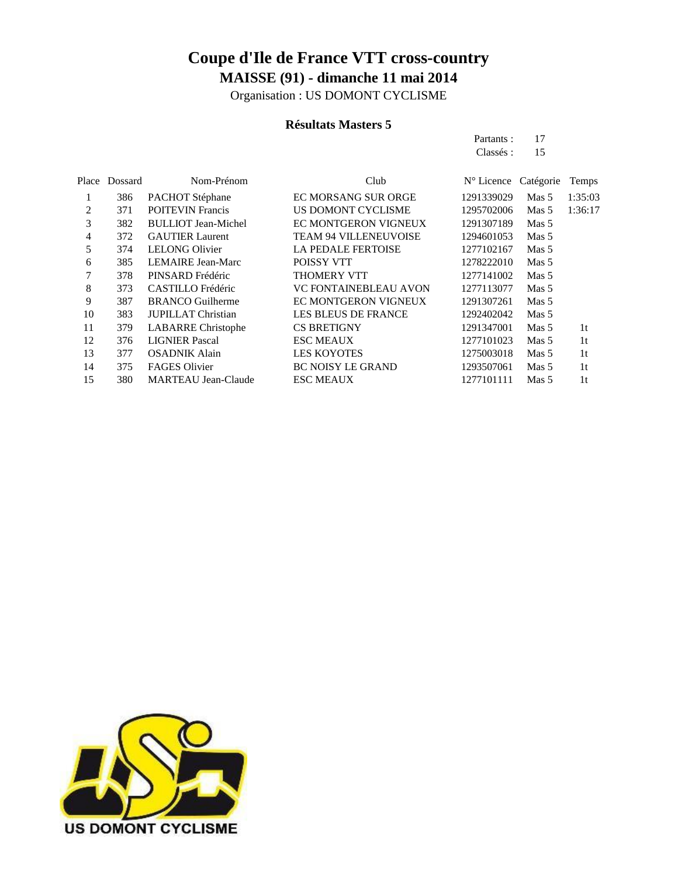Organisation : US DOMONT CYCLISME

#### **Résultats Masters 5**

Partants : 17

|                |         |                            |                              | Classés:            | 15               |                |
|----------------|---------|----------------------------|------------------------------|---------------------|------------------|----------------|
| Place          | Dossard | Nom-Prénom                 | Club                         | $N^{\circ}$ Licence | Catégorie        | Temps          |
|                | 386     | PACHOT Stéphane            | <b>EC MORSANG SUR ORGE</b>   | 1291339029          | Mas <sub>5</sub> | 1:35:03        |
| $\overline{c}$ | 371     | <b>POITEVIN Francis</b>    | US DOMONT CYCLISME           | 1295702006          | Mas <sub>5</sub> | 1:36:17        |
| 3              | 382     | <b>BULLIOT</b> Jean-Michel | <b>EC MONTGERON VIGNEUX</b>  | 1291307189          | Mas 5            |                |
| 4              | 372     | <b>GAUTIER Laurent</b>     | <b>TEAM 94 VILLENEUVOISE</b> | 1294601053          | Mas 5            |                |
| 5              | 374     | <b>LELONG Olivier</b>      | LA PEDALE FERTOISE           | 1277102167          | Mas 5            |                |
| 6              | 385     | <b>LEMAIRE Jean-Marc</b>   | POISSY VTT                   | 1278222010          | Mas 5            |                |
| 7              | 378     | PINSARD Frédéric           | <b>THOMERY VTT</b>           | 1277141002          | Mas 5            |                |
| 8              | 373     | <b>CASTILLO</b> Frédéric   | <b>VC FONTAINEBLEAU AVON</b> | 1277113077          | Mas 5            |                |
| 9              | 387     | <b>BRANCO</b> Guilherme    | <b>EC MONTGERON VIGNEUX</b>  | 1291307261          | Mas 5            |                |
| 10             | 383     | <b>JUPILLAT Christian</b>  | <b>LES BLEUS DE FRANCE</b>   | 1292402042          | Mas 5            |                |
| 11             | 379     | <b>LABARRE</b> Christophe  | <b>CS BRETIGNY</b>           | 1291347001          | Mas 5            | 1 <sup>t</sup> |
| 12             | 376     | <b>LIGNIER Pascal</b>      | <b>ESC MEAUX</b>             | 1277101023          | Mas 5            | 1 <sup>t</sup> |
| 13             | 377     | <b>OSADNIK Alain</b>       | <b>LES KOYOTES</b>           | 1275003018          | Mas 5            | 1 <sup>t</sup> |
| 14             | 375     | <b>FAGES Olivier</b>       | <b>BC NOISY LE GRAND</b>     | 1293507061          | Mas 5            | 1 <sup>t</sup> |
| 15             | 380     | <b>MARTEAU Jean-Claude</b> | <b>ESC MEAUX</b>             | 1277101111          | Mas 5            | 1t             |
|                |         |                            |                              |                     |                  |                |

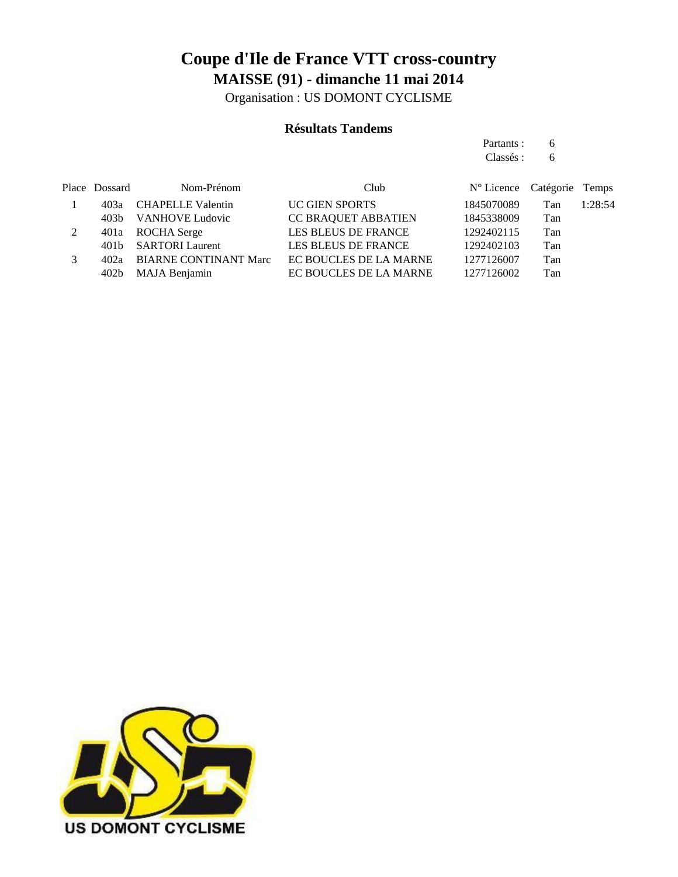Organisation : US DOMONT CYCLISME

#### **Résultats Tandems**

Partants : 6 Classés : 6

|   | Place Dossard | Nom-Prénom                 | Club                       | N° Licence Catégorie Temps |     |         |
|---|---------------|----------------------------|----------------------------|----------------------------|-----|---------|
|   |               | 403a CHAPELLE Valentin     | <b>UC GIEN SPORTS</b>      | 1845070089                 | Tan | 1:28:54 |
|   |               | 403b VANHOVE Ludovic       | <b>CC BRAQUET ABBATIEN</b> | 1845338009                 | Tan |         |
| 2 |               | 401a ROCHA Serge           | LES BLEUS DE FRANCE        | 1292402115                 | Tan |         |
|   |               | 401b SARTORI Laurent       | LES BLEUS DE FRANCE        | 1292402103                 | Tan |         |
|   |               | 402a BIARNE CONTINANT Marc | EC BOUCLES DE LA MARNE     | 1277126007                 | Tan |         |
|   |               | 402b MAJA Benjamin         | EC BOUCLES DE LA MARNE     | 1277126002                 | Tan |         |